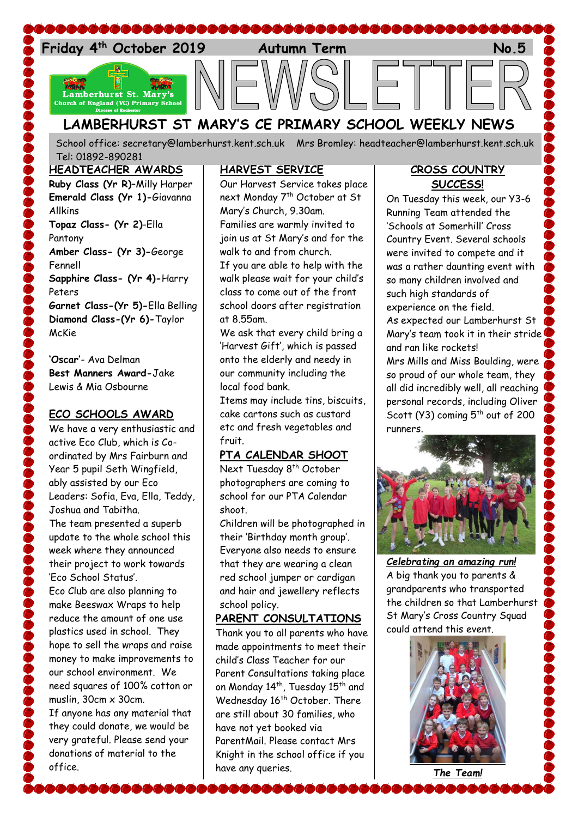

## **LAMBERHURST ST MARY'S CE PRIMARY SCHOOL WEEKLY NEWS**

School office: [secretary@lamberhurst.kent.sch.uk](mailto:secretary@lamberhurst.kent.sch.uk) Mrs Bromley: headteacher@lamberhurst.kent.sch.uk Tel: 01892-890281

#### **HEADTEACHER AWARDS**

**Ruby Class (Yr R)**–Milly Harper **Emerald Class (Yr 1)-**Giavanna Allkins **Topaz Class- (Yr 2)**-Ella Pantony **Amber Class- (Yr 3)-**George Fennell **Sapphire Class- (Yr 4)-**Harry Peters **Garnet Class-(Yr 5)-**Ella Belling **Diamond Class-(Yr 6)-**Taylor McKie

**'Oscar'**- Ava Delman **Best Manners Award-**Jake Lewis & Mia Osbourne

## **ECO SCHOOLS AWARD**

We have a very enthusiastic and active Eco Club, which is Coordinated by Mrs Fairburn and Year 5 pupil Seth Wingfield, ably assisted by our Eco Leaders: Sofia, Eva, Ella, Teddy, Joshua and Tabitha. The team presented a superb update to the whole school this week where they announced their project to work towards 'Eco School Status'. Eco Club are also planning to make Beeswax Wraps to help reduce the amount of one use plastics used in school. They hope to sell the wraps and raise money to make improvements to our school environment. We need squares of 100% cotton or muslin,  $30cm \times 30cm$ . If anyone has any material that they could donate, we would be very grateful. Please send your

donations of material to the office.

## **HARVEST SERVICE**

Our Harvest Service takes place next Monday 7<sup>th</sup> October at St Mary's Church, 9.30am. Families are warmly invited to join us at St Mary's and for the walk to and from church. If you are able to help with the walk please wait for your child's class to come out of the front school doors after registration at 8.55am.

We ask that every child bring a 'Harvest Gift', which is passed onto the elderly and needy in our community including the local food bank.

Items may include tins, biscuits, cake cartons such as custard etc and fresh vegetables and fruit.

## **PTA CALENDAR SHOOT**

Next Tuesday 8<sup>th</sup> October photographers are coming to school for our PTA Calendar shoot.

Children will be photographed in their 'Birthday month group'. Everyone also needs to ensure that they are wearing a clean red school jumper or cardigan and hair and jewellery reflects school policy.

## **PARENT CONSULTATIONS**

Thank you to all parents who have made appointments to meet their child's Class Teacher for our Parent Consultations taking place on Monday 14<sup>th</sup>, Tuesday 15<sup>th</sup> and Wednesday 16<sup>th</sup> October. There are still about 30 families, who have not yet booked via ParentMail. Please contact Mrs Knight in the school office if you have any queries.

#### **CROSS COUNTRY SUCCESS!**

On Tuesday this week, our Y3-6 Running Team attended the 'Schools at Somerhill' Cross Country Event. Several schools were invited to compete and it was a rather daunting event with so many children involved and such high standards of experience on the field.

As expected our Lamberhurst St Mary's team took it in their stride and ran like rockets!

Mrs Mills and Miss Boulding, were so proud of our whole team, they all did incredibly well, all reaching personal records, including Oliver Scott (Y3) coming  $5^{th}$  out of 200 runners.



*Celebrating an amazing run!* A big thank you to parents & grandparents who transported the children so that Lamberhurst St Mary's Cross Country Squad could attend this event.



*The Team!*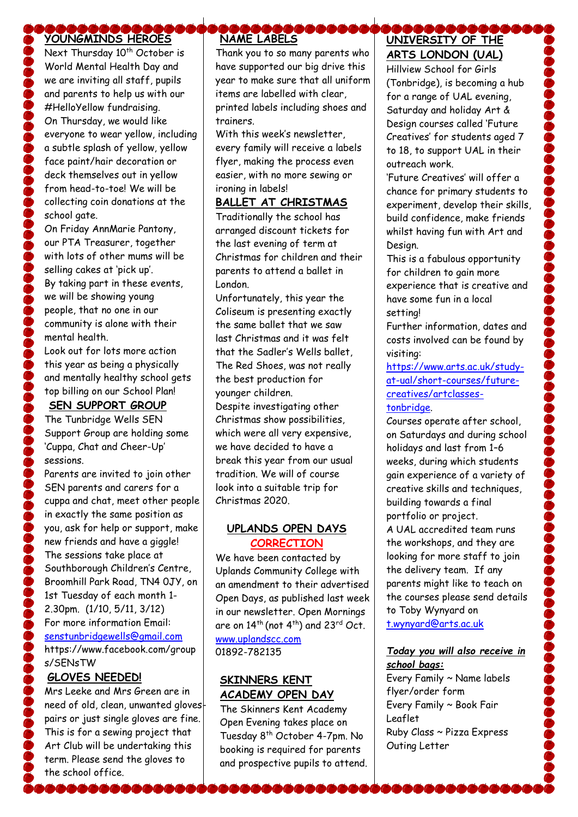#### \&&&&&&{ **YOUNGMINDS HEROES**

Next Thursday 10<sup>th</sup> October is World Mental Health Day and we are inviting all staff, pupils and parents to help us with our #HelloYellow fundraising. On Thursday, we would like everyone to wear yellow, including a subtle splash of yellow, yellow face paint/hair decoration or deck themselves out in yellow from head-to-toe! We will be collecting coin donations at the school gate.

On Friday AnnMarie Pantony, our PTA Treasurer, together with lots of other mums will be selling cakes at 'pick up'. By taking part in these events, we will be showing young people, that no one in our community is alone with their mental health.

Look out for lots more action this year as being a physically and mentally healthy school gets top billing on our School Plan!

## **SEN SUPPORT GROUP**

The Tunbridge Wells SEN Support Group are holding some 'Cuppa, Chat and Cheer-Up' sessions.

Parents are invited to join other SEN parents and carers for a cuppa and chat, meet other people in exactly the same position as you, ask for help or support, make new friends and have a giggle! The sessions take place at Southborough Children's Centre, Broomhill Park Road, TN4 0JY, on 1st Tuesday of each month 1- 2.30pm. (1/10, 5/11, 3/12) For more information Email: [senstunbridgewells@gmail.com](mailto:senstunbridgewells@gmail.com)

https://www.facebook.com/group s/SENsTW

# **GLOVES NEEDED!**

Mrs Leeke and Mrs Green are in need of old, clean, unwanted glovespairs or just single gloves are fine. This is for a sewing project that Art Club will be undertaking this term. Please send the gloves to the school office.

6666666

# **NAME LABELS**

Thank you to so many parents who have supported our big drive this year to make sure that all uniform items are labelled with clear, printed labels including shoes and trainers.

With this week's newsletter every family will receive a labels flyer, making the process even easier, with no more sewing or ironing in labels!

## **BALLET AT CHRISTMAS**

Traditionally the school has arranged discount tickets for the last evening of term at Christmas for children and their parents to attend a ballet in London.

Unfortunately, this year the Coliseum is presenting exactly the same ballet that we saw last Christmas and it was felt that the Sadler's Wells ballet, The Red Shoes, was not really the best production for younger children.

Despite investigating other Christmas show possibilities, which were all very expensive, we have decided to have a break this year from our usual tradition. We will of course look into a suitable trip for Christmas 2020.

#### **UPLANDS OPEN DAYS CORRECTION**

We have been contacted by Uplands Community College with an amendment to their advertised Open Days, as published last week in our newsletter. Open Mornings are on  $14^{th}$  (not  $4^{th}$ ) and  $23^{rd}$  Oct.

[www.uplandscc.com](http://www.uplandscc.com/) 01892-782135

## **SKINNERS KENT ACADEMY OPEN DAY**

The Skinners Kent Academy Open Evening takes place on Tuesday 8<sup>th</sup> October 4-7pm. No booking is required for parents and prospective pupils to attend.

## \&&&&&&&&& **UNIVERSITY OF THE ARTS LONDON (UAL)**

Hillview School for Girls (Tonbridge), is becoming a hub for a range of UAL evening, Saturday and holiday Art & Design courses called 'Future Creatives' for students aged 7 to 18, to support UAL in their outreach work.

'Future Creatives' will offer a chance for primary students to experiment, develop their skills, build confidence, make friends whilst having fun with Art and Design.

This is a fabulous opportunity for children to gain more experience that is creative and have some fun in a local setting!

Further information, dates and costs involved can be found by visiting:

[https://www.arts.ac.uk/study](https://www.arts.ac.uk/study-at-ual/short-courses/future-creatives/artclasses-tonbridge)[at-ual/short-courses/future](https://www.arts.ac.uk/study-at-ual/short-courses/future-creatives/artclasses-tonbridge)[creatives/artclasses](https://www.arts.ac.uk/study-at-ual/short-courses/future-creatives/artclasses-tonbridge)[tonbridge.](https://www.arts.ac.uk/study-at-ual/short-courses/future-creatives/artclasses-tonbridge)

Courses operate after school, on Saturdays and during school holidays and last from 1–6 weeks, during which students gain experience of a variety of creative skills and techniques, building towards a final portfolio or project. A UAL accredited team runs the workshops, and they are looking for more staff to join the delivery team. If any parents might like to teach on the courses please send details

to Toby Wynyard on [t.wynyard@arts.ac.uk](mailto:t.wynyard@arts.ac.uk)

## *Today you will also receive in school bags:*

Every Family ~ Name labels flyer/order form Every Family ~ Book Fair Leaflet Ruby Class ~ Pizza Express Outing Letter